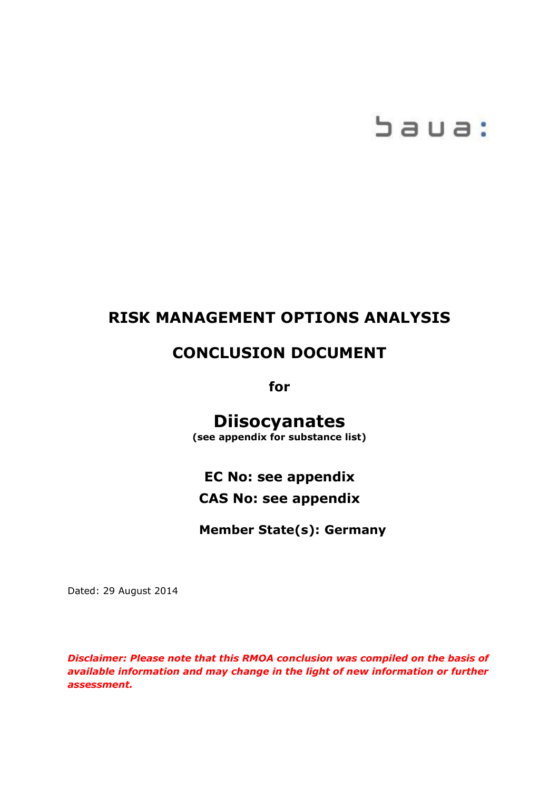# baua:

# **RISK MANAGEMENT OPTIONS ANALYSIS**

# **CONCLUSION DOCUMENT**

**for**

# **Diisocyanates**

**(see appendix for substance list)**

# **EC No: see appendix CAS No: see appendix**

**Member State(s): Germany**

Dated: 29 August 2014

*Disclaimer: Please note that this RMOA conclusion was compiled on the basis of available information and may change in the light of new information or further assessment.*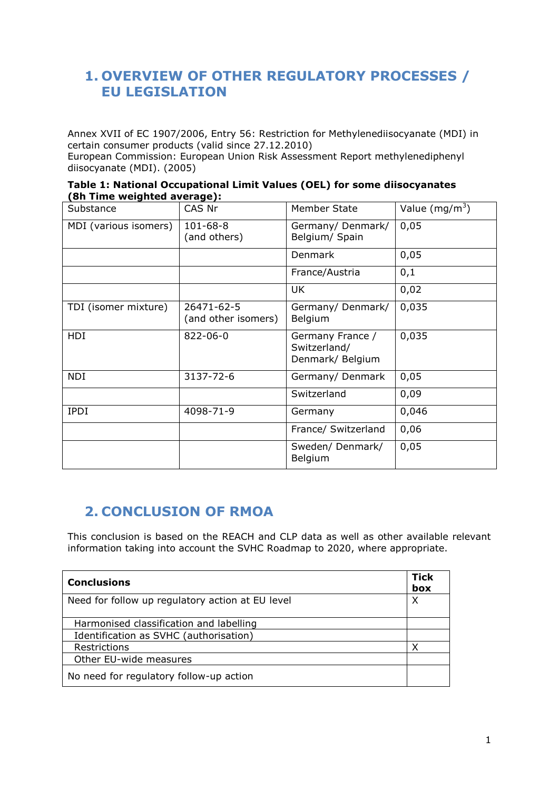# **1. OVERVIEW OF OTHER REGULATORY PROCESSES / EU LEGISLATION**

Annex XVII of EC 1907/2006, Entry 56: Restriction for Methylenediisocyanate (MDI) in certain consumer products (valid since 27.12.2010)

European Commission: European Union Risk Assessment Report methylenediphenyl diisocyanate (MDI). (2005)

| Table 1: National Occupational Limit Values (OEL) for some diisocyanates |  |  |
|--------------------------------------------------------------------------|--|--|
| (8h Time weighted average):                                              |  |  |

| on muc weighted average/r |                                   |                                                      |                  |
|---------------------------|-----------------------------------|------------------------------------------------------|------------------|
| Substance                 | CAS Nr                            | Member State                                         | Value $(mg/m^3)$ |
| MDI (various isomers)     | $101 - 68 - 8$<br>(and others)    | Germany/Denmark/<br>Belgium/ Spain                   | 0,05             |
|                           |                                   | Denmark                                              | 0,05             |
|                           |                                   | France/Austria                                       | 0,1              |
|                           |                                   | <b>UK</b>                                            | 0,02             |
| TDI (isomer mixture)      | 26471-62-5<br>(and other isomers) | Germany/Denmark/<br>Belgium                          | 0,035            |
| <b>HDI</b>                | 822-06-0                          | Germany France /<br>Switzerland/<br>Denmark/ Belgium | 0,035            |
| <b>NDI</b>                | 3137-72-6                         | Germany/ Denmark                                     | 0,05             |
|                           |                                   | Switzerland                                          | 0,09             |
| <b>IPDI</b>               | 4098-71-9                         | Germany                                              | 0,046            |
|                           |                                   | France/ Switzerland                                  | 0,06             |
|                           |                                   | Sweden/ Denmark/<br>Belgium                          | 0,05             |

# **2. CONCLUSION OF RMOA**

This conclusion is based on the REACH and CLP data as well as other available relevant information taking into account the SVHC Roadmap to 2020, where appropriate.

| <b>Conclusions</b>                               | <b>Tick</b><br>box |
|--------------------------------------------------|--------------------|
| Need for follow up regulatory action at EU level | х                  |
| Harmonised classification and labelling          |                    |
| Identification as SVHC (authorisation)           |                    |
| Restrictions                                     | χ                  |
| Other EU-wide measures                           |                    |
| No need for regulatory follow-up action          |                    |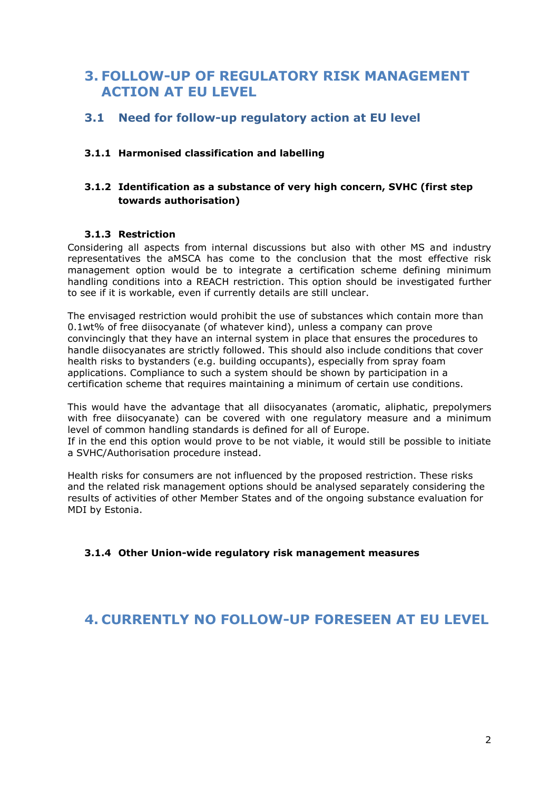## **3. FOLLOW-UP OF REGULATORY RISK MANAGEMENT ACTION AT EU LEVEL**

#### **3.1 Need for follow-up regulatory action at EU level**

#### **3.1.1 Harmonised classification and labelling**

#### **3.1.2 Identification as a substance of very high concern, SVHC (first step towards authorisation)**

#### **3.1.3 Restriction**

Considering all aspects from internal discussions but also with other MS and industry representatives the aMSCA has come to the conclusion that the most effective risk management option would be to integrate a certification scheme defining minimum handling conditions into a REACH restriction. This option should be investigated further to see if it is workable, even if currently details are still unclear.

The envisaged restriction would prohibit the use of substances which contain more than 0.1wt% of free diisocyanate (of whatever kind), unless a company can prove convincingly that they have an internal system in place that ensures the procedures to handle diisocyanates are strictly followed. This should also include conditions that cover health risks to bystanders (e.g. building occupants), especially from spray foam applications. Compliance to such a system should be shown by participation in a certification scheme that requires maintaining a minimum of certain use conditions.

This would have the advantage that all diisocyanates (aromatic, aliphatic, prepolymers with free diisocyanate) can be covered with one regulatory measure and a minimum level of common handling standards is defined for all of Europe.

If in the end this option would prove to be not viable, it would still be possible to initiate a SVHC/Authorisation procedure instead.

Health risks for consumers are not influenced by the proposed restriction. These risks and the related risk management options should be analysed separately considering the results of activities of other Member States and of the ongoing substance evaluation for MDI by Estonia.

**3.1.4 Other Union-wide regulatory risk management measures** 

#### **4. CURRENTLY NO FOLLOW-UP FORESEEN AT EU LEVEL**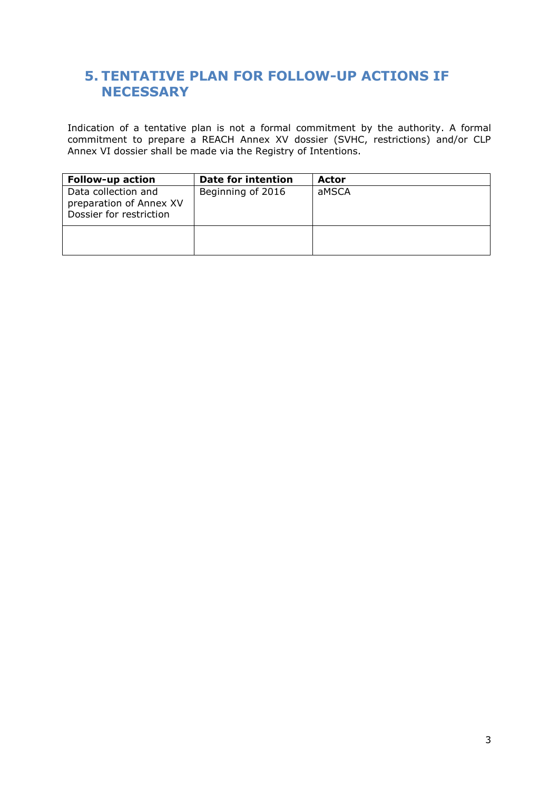## **5. TENTATIVE PLAN FOR FOLLOW-UP ACTIONS IF NECESSARY**

Indication of a tentative plan is not a formal commitment by the authority. A formal commitment to prepare a REACH Annex XV dossier (SVHC, restrictions) and/or CLP Annex VI dossier shall be made via the Registry of Intentions.

| <b>Follow-up action</b>                                                   | Date for intention | Actor |
|---------------------------------------------------------------------------|--------------------|-------|
| Data collection and<br>preparation of Annex XV<br>Dossier for restriction | Beginning of 2016  | aMSCA |
|                                                                           |                    |       |